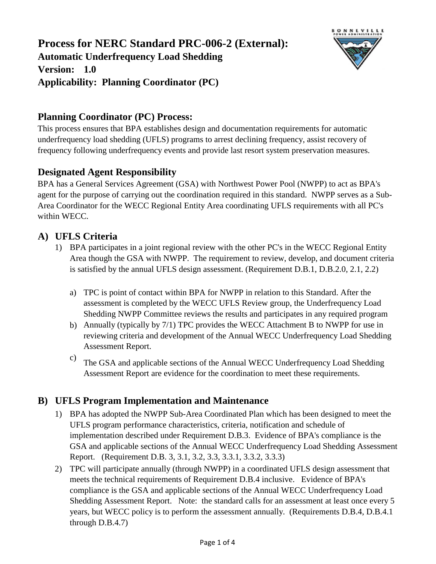

## **Planning Coordinator (PC) Process:**

This process ensures that BPA establishes design and documentation requirements for automatic underfrequency load shedding (UFLS) programs to arrest declining frequency, assist recovery of frequency following underfrequency events and provide last resort system preservation measures.

# **Designated Agent Responsibility**

BPA has a General Services Agreement (GSA) with Northwest Power Pool (NWPP) to act as BPA's agent for the purpose of carrying out the coordination required in this standard. NWPP serves as a Sub-Area Coordinator for the WECC Regional Entity Area coordinating UFLS requirements with all PC's within WECC.

### **A) UFLS Criteria**

- 1) BPA participates in a joint regional review with the other PC's in the WECC Regional Entity Area though the GSA with NWPP. The requirement to review, develop, and document criteria is satisfied by the annual UFLS design assessment. (Requirement D.B.1, D.B.2.0, 2.1, 2.2)
	- a) TPC is point of contact within BPA for NWPP in relation to this Standard. After the assessment is completed by the WECC UFLS Review group, the Underfrequency Load Shedding NWPP Committee reviews the results and participates in any required program
	- b) Annually (typically by 7/1) TPC provides the WECC Attachment B to NWPP for use in reviewing criteria and development of the Annual WECC Underfrequency Load Shedding Assessment Report.
	- c) The GSA and applicable sections of the Annual WECC Underfrequency Load Shedding Assessment Report are evidence for the coordination to meet these requirements.

# **B) UFLS Program Implementation and Maintenance**

- 1) BPA has adopted the NWPP Sub-Area Coordinated Plan which has been designed to meet the UFLS program performance characteristics, criteria, notification and schedule of implementation described under Requirement D.B.3. Evidence of BPA's compliance is the GSA and applicable sections of the Annual WECC Underfrequency Load Shedding Assessment Report. (Requirement D.B. 3, 3.1, 3.2, 3.3, 3.3.1, 3.3.2, 3.3.3)
- 2) TPC will participate annually (through NWPP) in a coordinated UFLS design assessment that meets the technical requirements of Requirement D.B.4 inclusive. Evidence of BPA's compliance is the GSA and applicable sections of the Annual WECC Underfrequency Load Shedding Assessment Report. Note: the standard calls for an assessment at least once every 5 years, but WECC policy is to perform the assessment annually. (Requirements D.B.4, D.B.4.1 through D.B.4.7)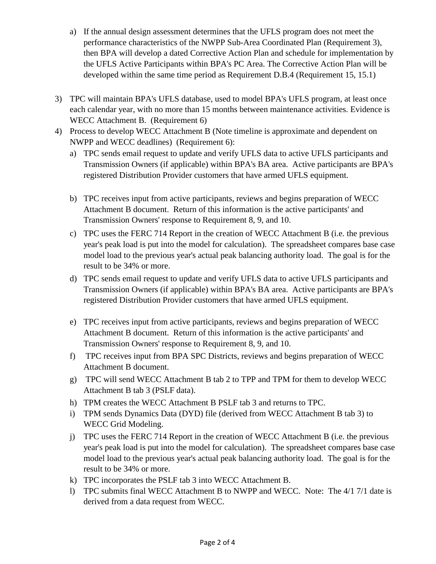- a) If the annual design assessment determines that the UFLS program does not meet the performance characteristics of the NWPP Sub-Area Coordinated Plan (Requirement 3), then BPA will develop a dated Corrective Action Plan and schedule for implementation by the UFLS Active Participants within BPA's PC Area. The Corrective Action Plan will be developed within the same time period as Requirement D.B.4 (Requirement 15, 15.1)
- 3) TPC will maintain BPA's UFLS database, used to model BPA's UFLS program, at least once each calendar year, with no more than 15 months between maintenance activities. Evidence is WECC Attachment B. (Requirement 6)
- 4) Process to develop WECC Attachment B (Note timeline is approximate and dependent on NWPP and WECC deadlines) (Requirement 6):
	- a) TPC sends email request to update and verify UFLS data to active UFLS participants and Transmission Owners (if applicable) within BPA's BA area. Active participants are BPA's registered Distribution Provider customers that have armed UFLS equipment.
	- b) TPC receives input from active participants, reviews and begins preparation of WECC Attachment B document. Return of this information is the active participants' and Transmission Owners' response to Requirement 8, 9, and 10.
	- c) TPC uses the FERC 714 Report in the creation of WECC Attachment B (i.e. the previous year's peak load is put into the model for calculation). The spreadsheet compares base case model load to the previous year's actual peak balancing authority load. The goal is for the result to be 34% or more.
	- d) TPC sends email request to update and verify UFLS data to active UFLS participants and Transmission Owners (if applicable) within BPA's BA area. Active participants are BPA's registered Distribution Provider customers that have armed UFLS equipment.
	- e) TPC receives input from active participants, reviews and begins preparation of WECC Attachment B document. Return of this information is the active participants' and Transmission Owners' response to Requirement 8, 9, and 10.
	- f) TPC receives input from BPA SPC Districts, reviews and begins preparation of WECC Attachment B document.
	- g) TPC will send WECC Attachment B tab 2 to TPP and TPM for them to develop WECC Attachment B tab 3 (PSLF data).
	- h) TPM creates the WECC Attachment B PSLF tab 3 and returns to TPC.
	- i) TPM sends Dynamics Data (DYD) file (derived from WECC Attachment B tab 3) to WECC Grid Modeling.
	- j) TPC uses the FERC 714 Report in the creation of WECC Attachment B (i.e. the previous year's peak load is put into the model for calculation). The spreadsheet compares base case model load to the previous year's actual peak balancing authority load. The goal is for the result to be 34% or more.
	- k) TPC incorporates the PSLF tab 3 into WECC Attachment B.
	- l) TPC submits final WECC Attachment B to NWPP and WECC. Note: The 4/1 7/1 date is derived from a data request from WECC.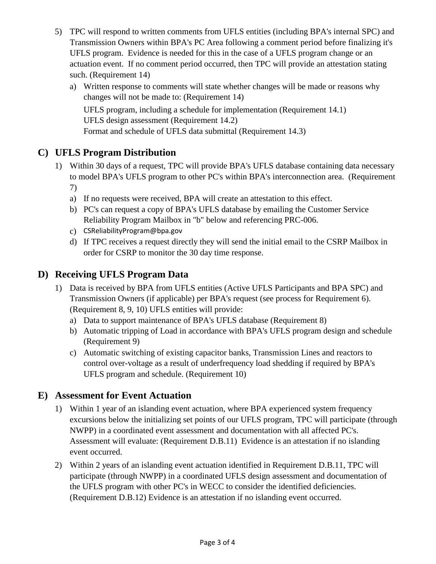- 5) TPC will respond to written comments from UFLS entities (including BPA's internal SPC) and Transmission Owners within BPA's PC Area following a comment period before finalizing it's UFLS program. Evidence is needed for this in the case of a UFLS program change or an actuation event. If no comment period occurred, then TPC will provide an attestation stating such. (Requirement 14)
	- a) Written response to comments will state whether changes will be made or reasons why changes will not be made to: (Requirement 14)

Format and schedule of UFLS data submittal (Requirement 14.3) UFLS program, including a schedule for implementation (Requirement 14.1) UFLS design assessment (Requirement 14.2)

### **C) UFLS Program Distribution**

- 1) Within 30 days of a request, TPC will provide BPA's UFLS database containing data necessary to model BPA's UFLS program to other PC's within BPA's interconnection area. (Requirement 7)
	- a) If no requests were received, BPA will create an attestation to this effect.
	- b) PC's can request a copy of BPA's UFLS database by emailing the Customer Service Reliability Program Mailbox in "b" below and referencing PRC-006.
	- c) CSReliabilityProgram@bpa.gov
	- d) If TPC receives a request directly they will send the initial email to the CSRP Mailbox in order for CSRP to monitor the 30 day time response.

### **D) Receiving UFLS Program Data**

- 1) Data is received by BPA from UFLS entities (Active UFLS Participants and BPA SPC) and Transmission Owners (if applicable) per BPA's request (see process for Requirement 6). (Requirement 8, 9, 10) UFLS entities will provide:
	- a) Data to support maintenance of BPA's UFLS database (Requirement 8)
	- b) Automatic tripping of Load in accordance with BPA's UFLS program design and schedule (Requirement 9)
	- c) Automatic switching of existing capacitor banks, Transmission Lines and reactors to control over-voltage as a result of underfrequency load shedding if required by BPA's UFLS program and schedule. (Requirement 10)

#### **E) Assessment for Event Actuation**

- 1) Within 1 year of an islanding event actuation, where BPA experienced system frequency excursions below the initializing set points of our UFLS program, TPC will participate (through NWPP) in a coordinated event assessment and documentation with all affected PC's. Assessment will evaluate: (Requirement D.B.11) Evidence is an attestation if no islanding event occurred.
- 2) Within 2 years of an islanding event actuation identified in Requirement D.B.11, TPC will participate (through NWPP) in a coordinated UFLS design assessment and documentation of the UFLS program with other PC's in WECC to consider the identified deficiencies. (Requirement D.B.12) Evidence is an attestation if no islanding event occurred.